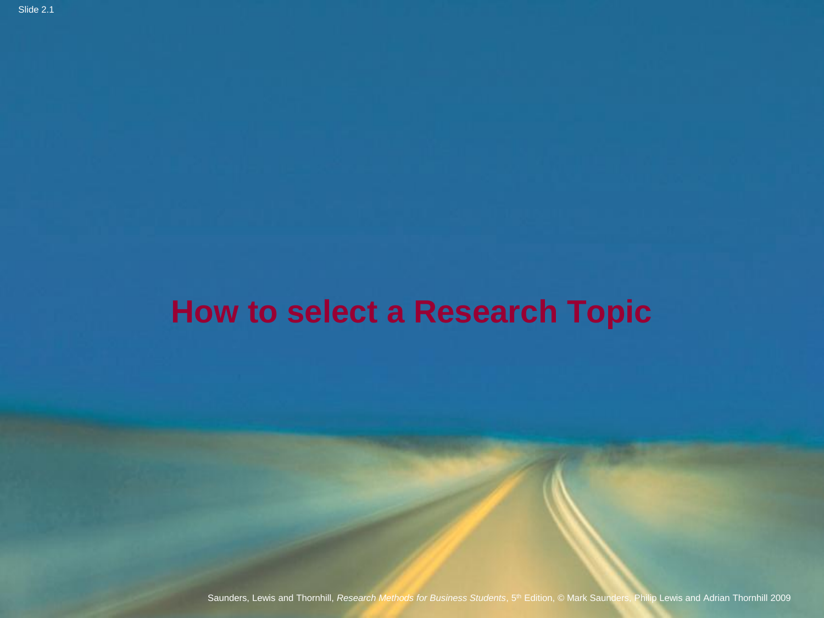#### **How to select a Research Topic**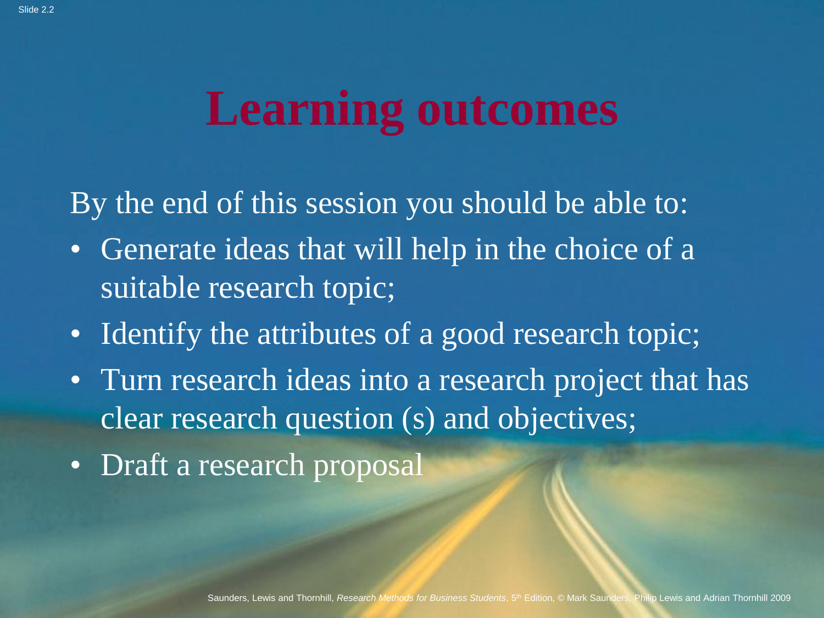# **Learning outcomes**

By the end of this session you should be able to:

- Generate ideas that will help in the choice of a suitable research topic;
- Identify the attributes of a good research topic;
- Turn research ideas into a research project that has clear research question (s) and objectives;
- Draft a research proposal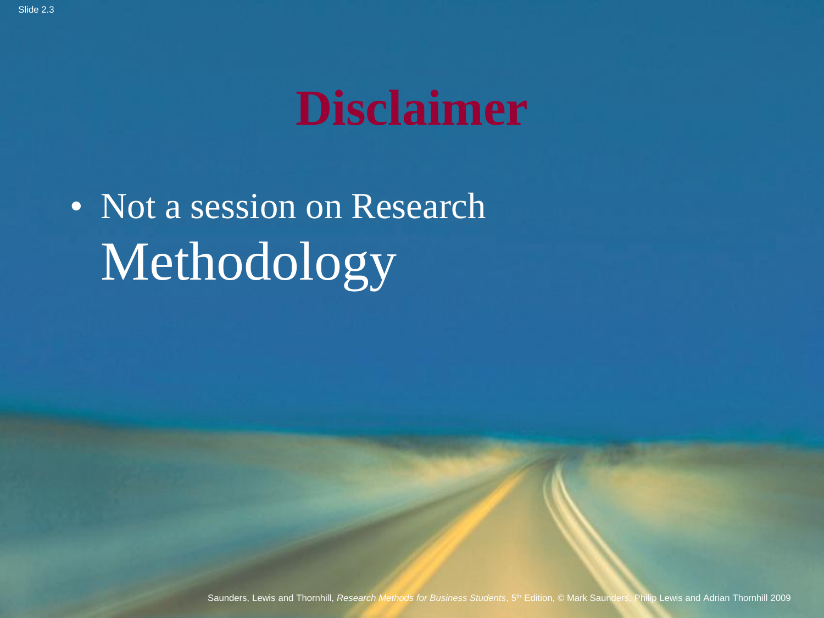# **Disclaimer**

• Not a session on Research Methodology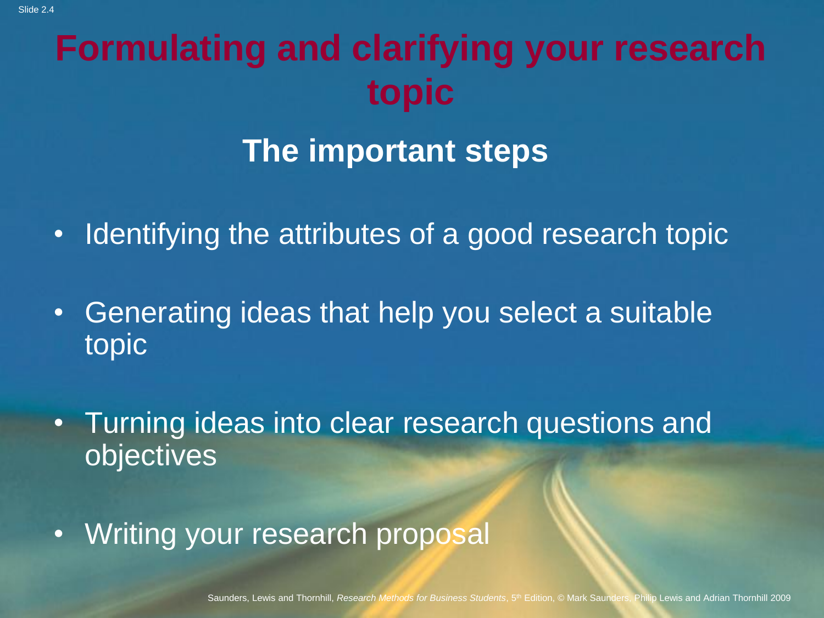### **Formulating and clarifying your research topic**

#### **The important steps**

- Identifying the attributes of a good research topic
- Generating ideas that help you select a suitable topic
- Turning ideas into clear research questions and objectives
- Writing your research proposal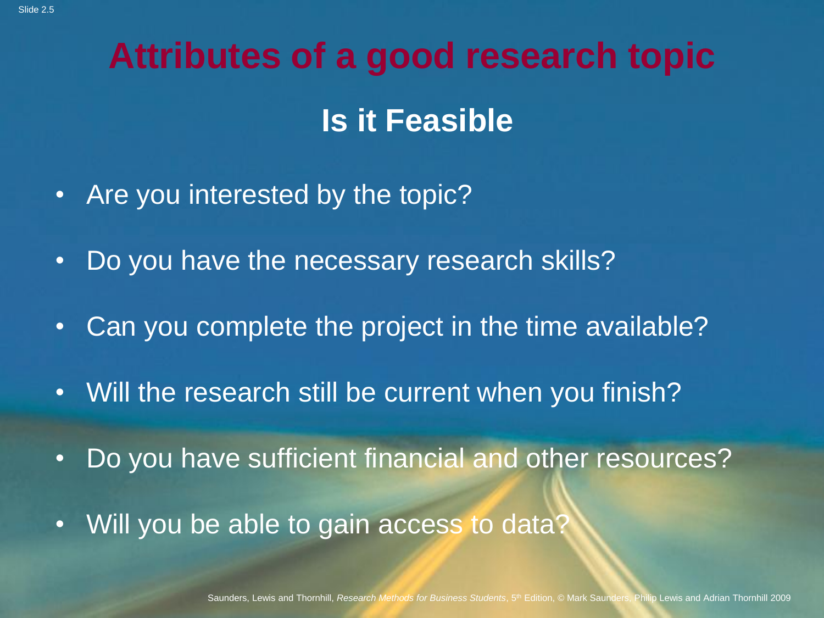# **Attributes of a good research topic Is it Feasible**

- Are you interested by the topic?
- Do you have the necessary research skills?
- Can you complete the project in the time available?
- Will the research still be current when you finish?
- Do you have sufficient financial and other resources?
- Will you be able to gain access to data?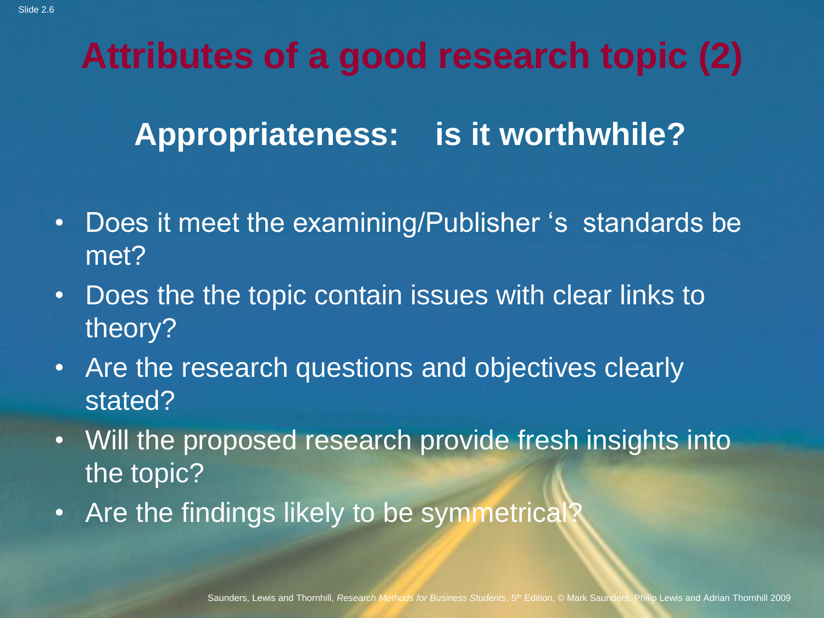### **Attributes of a good research topic (2)**

#### **Appropriateness: is it worthwhile?**

- Does it meet the examining/Publisher 's standards be met?
- Does the the topic contain issues with clear links to theory?
- Are the research questions and objectives clearly stated?
- Will the proposed research provide fresh insights into the topic?
- Are the findings likely to be symmetrical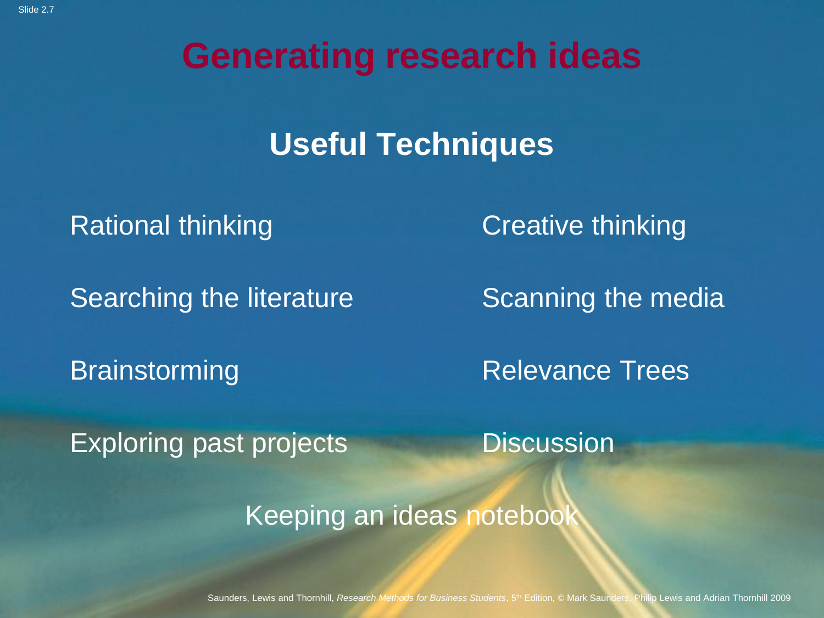**Generating research ideas**

#### **Useful Techniques**

Rational thinking **Creative thinking** 

Searching the literature Scanning the media

Brainstorming Relevance Trees

Exploring past projects **Discussion** 

Keeping an ideas noteboo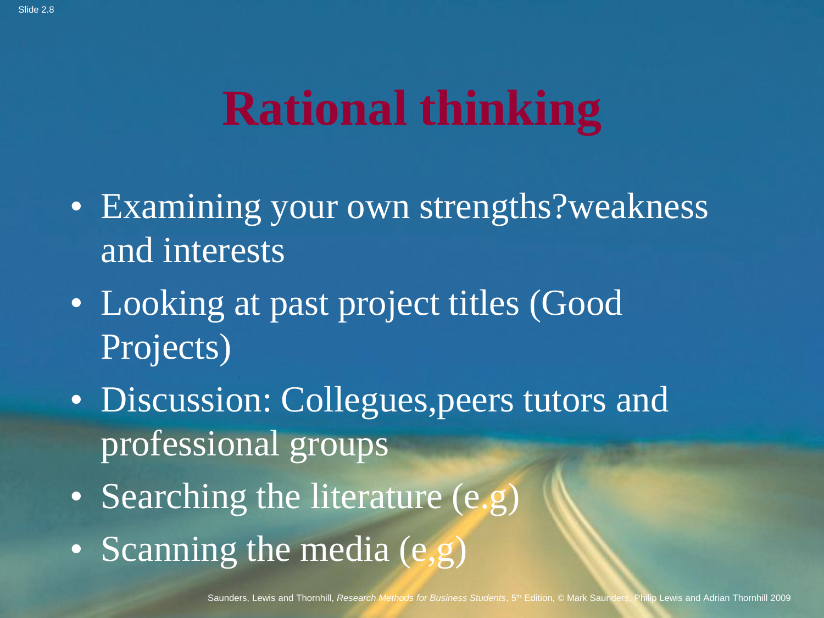# **Rational thinking**

- Examining your own strengths?weakness and interests
- Looking at past project titles (Good Projects)
- Discussion: Collegues, peers tutors and professional groups
- Searching the literature (e.g)
- Scanning the media (e,g)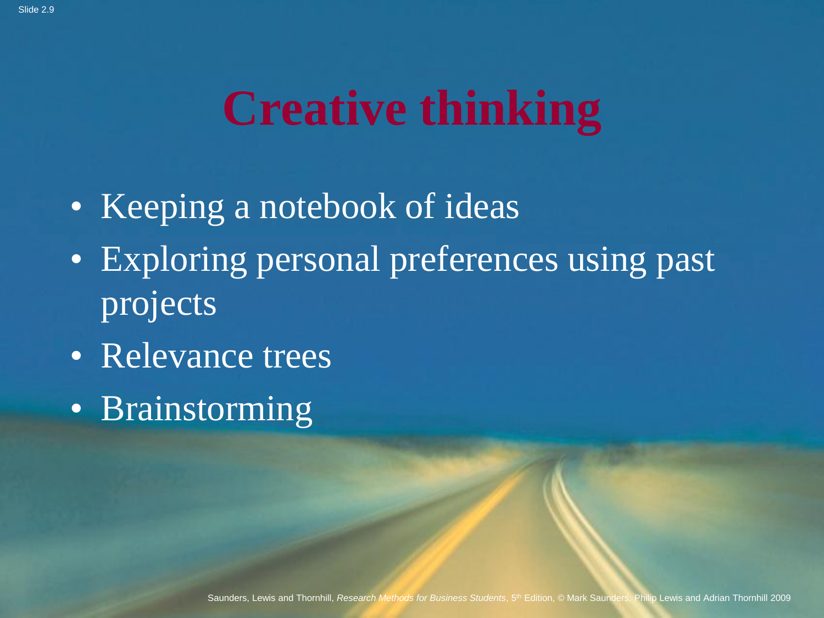# **Creative thinking**

- Keeping a notebook of ideas
- Exploring personal preferences using past projects
- Relevance trees
- Brainstorming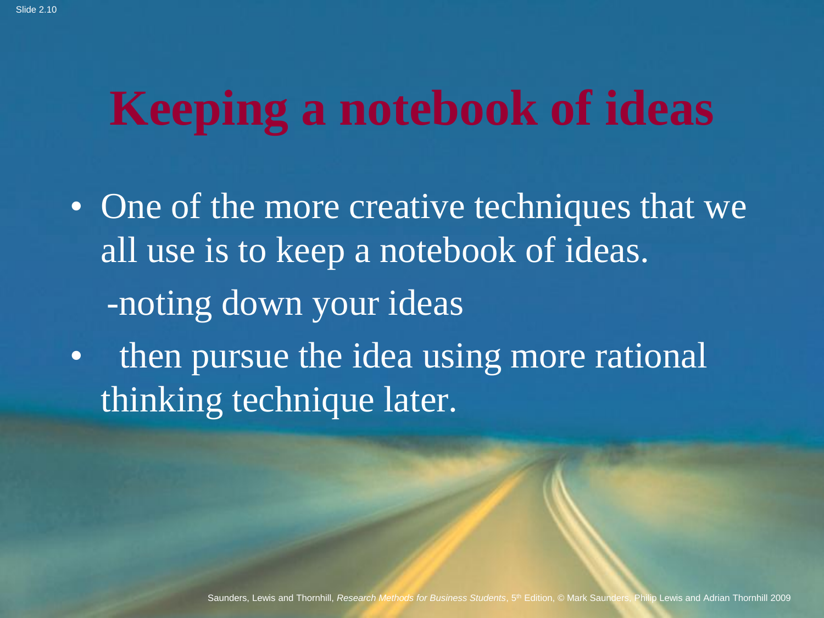# **Keeping a notebook of ideas**

- One of the more creative techniques that we all use is to keep a notebook of ideas. -noting down your ideas
- then pursue the idea using more rational thinking technique later.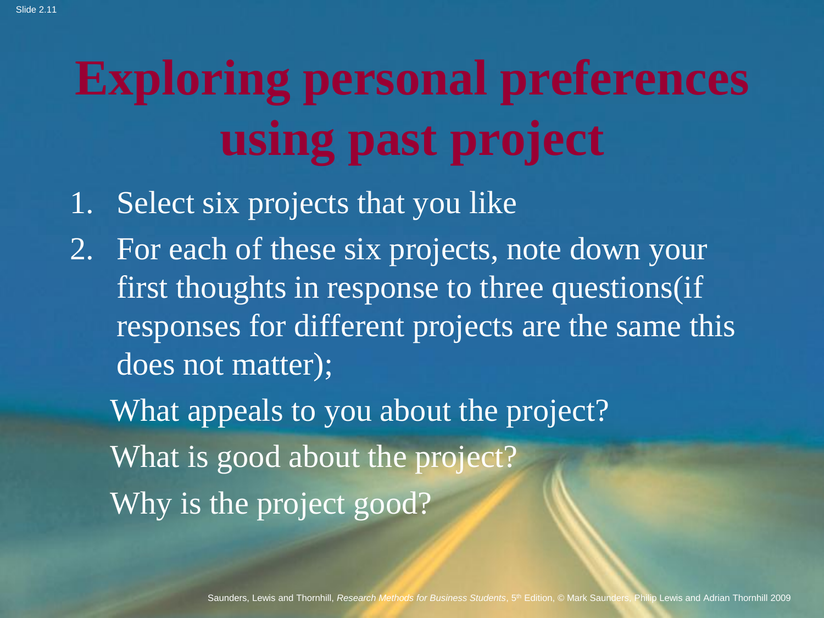# **Exploring personal preferences using past project**

- 1. Select six projects that you like
- 2. For each of these six projects, note down your first thoughts in response to three questions(if responses for different projects are the same this does not matter);

What appeals to you about the project? What is good about the project? Why is the project good?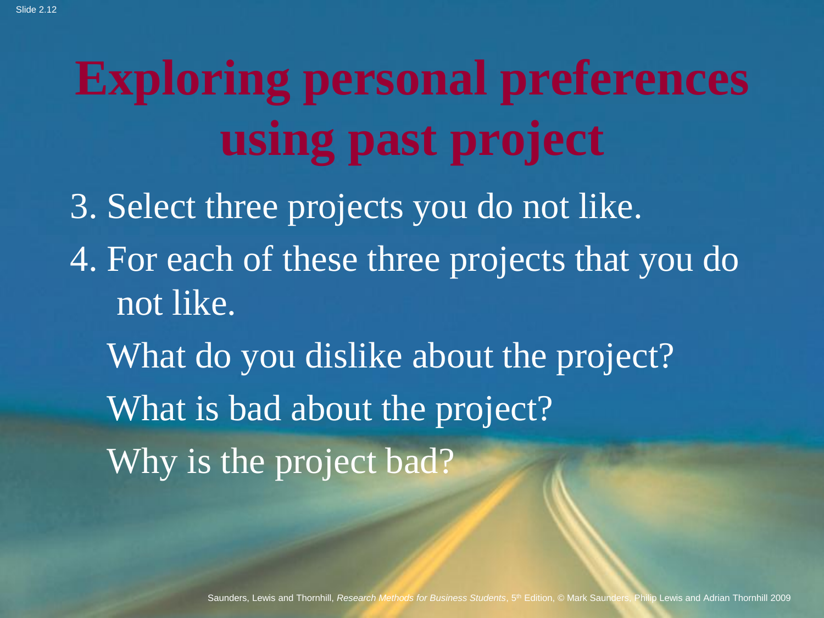# **Exploring personal preferences using past project**

3. Select three projects you do not like. 4. For each of these three projects that you do not like. What do you dislike about the project? What is bad about the project? Why is the project bad?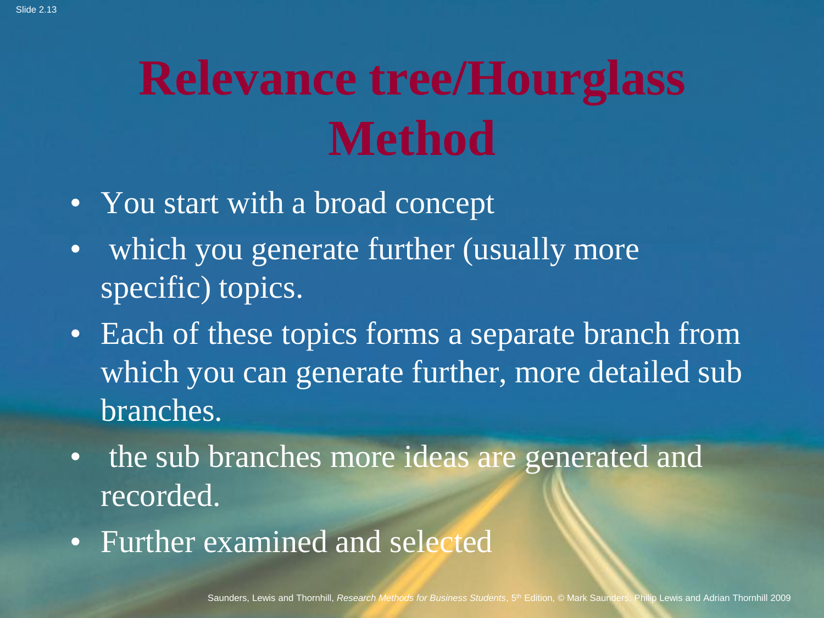# **Relevance tree/Hourglass Method**

- You start with a broad concept
- which you generate further (usually more specific) topics.
- Each of these topics forms a separate branch from which you can generate further, more detailed sub branches.
- the sub branches more ideas are generated and recorded.
- Further examined and selected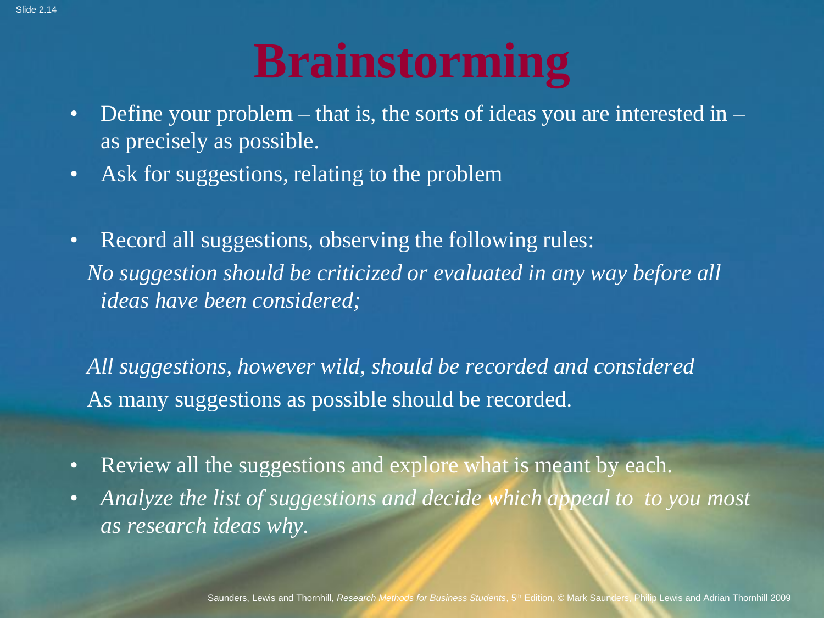# **Brainstorming**

- Define your problem that is, the sorts of ideas you are interested in  $$ as precisely as possible.
- Ask for suggestions, relating to the problem
- Record all suggestions, observing the following rules: *No suggestion should be criticized or evaluated in any way before all ideas have been considered;*

*All suggestions, however wild, should be recorded and considered*  As many suggestions as possible should be recorded.

- Review all the suggestions and explore what is meant by each.
- Analyze the list of suggestions and decide which appeal to to you most *as research ideas why.*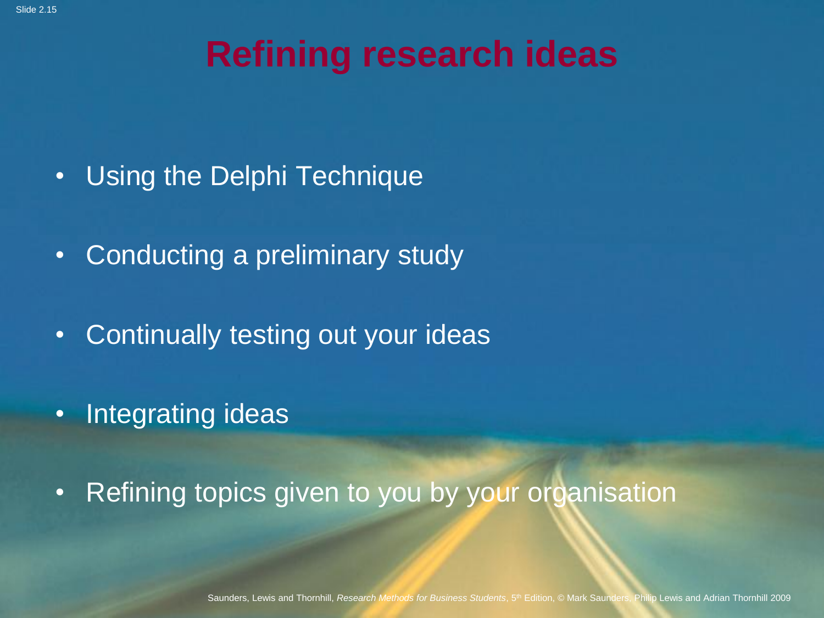#### **Refining research ideas**

- Using the Delphi Technique
- Conducting a preliminary study
- Continually testing out your ideas
- Integrating ideas
- Refining topics given to you by your organisation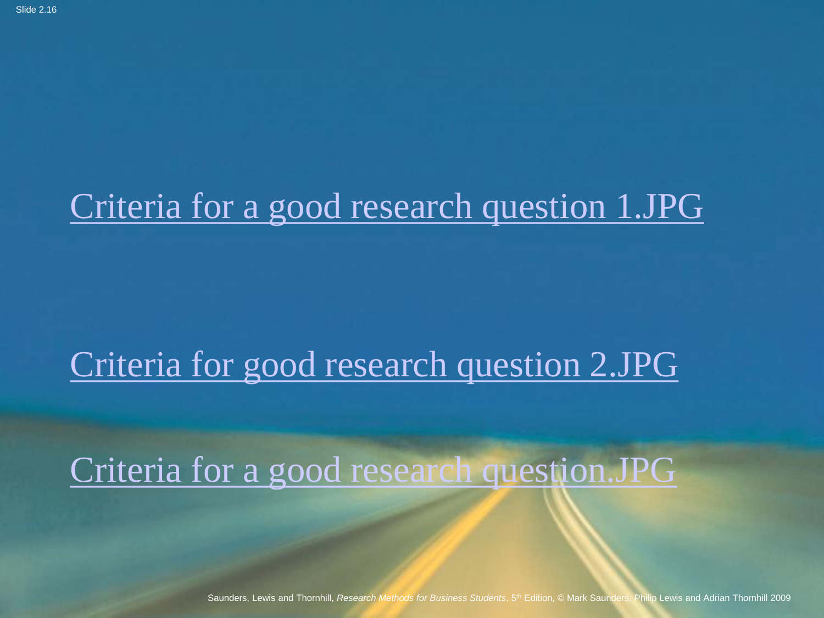#### <Criteria for a good research question 1.JPG>

#### <Criteria for good research question 2.JPG>

<Criteria for a good research question.JPG>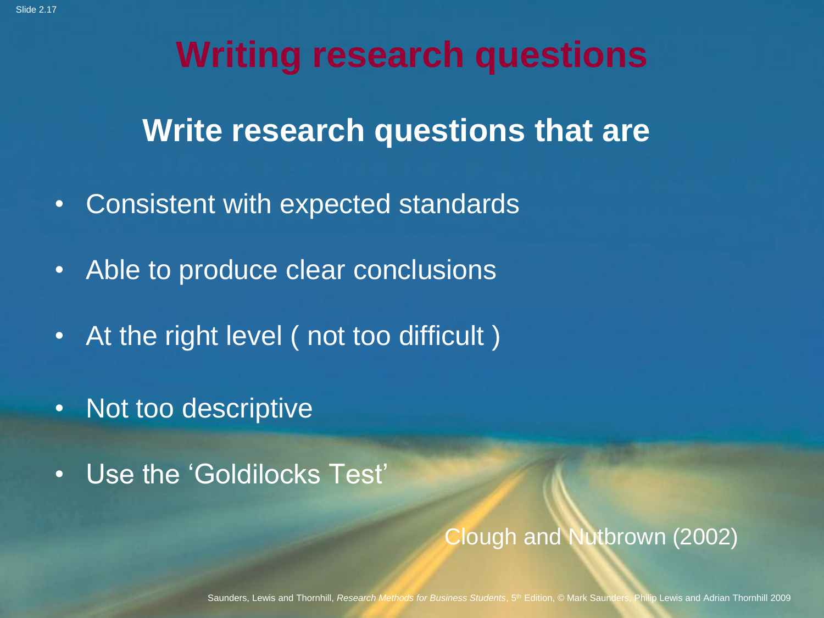#### **Writing research questions**

**Write research questions that are**

- Consistent with expected standards
- Able to produce clear conclusions
- At the right level (not too difficult)
- Not too descriptive
- Use the 'Goldilocks Test'

#### Clough and Nutbrown (2002)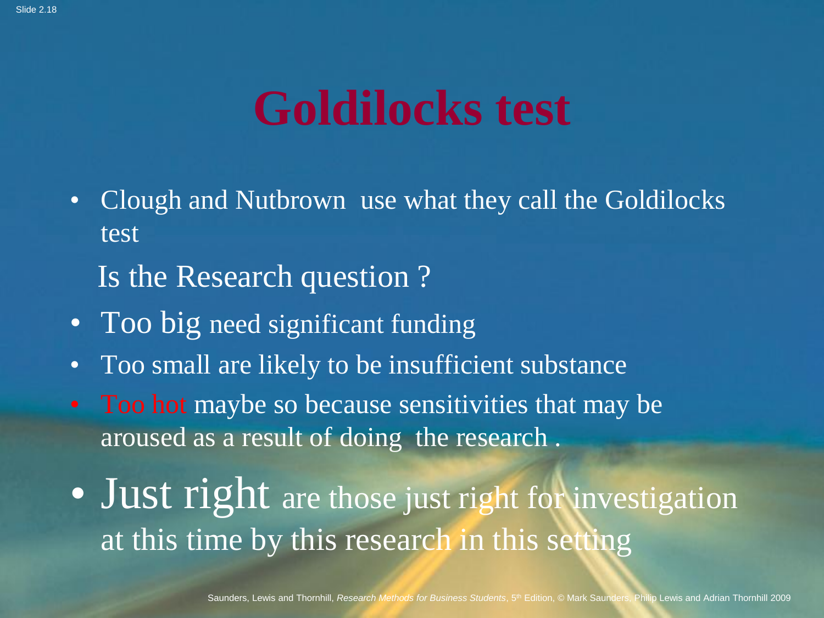## **Goldilocks test**

- Clough and Nutbrown use what they call the Goldilocks test
	- Is the Research question ?
- Too big need significant funding
- Too small are likely to be insufficient substance
- Too hot maybe so because sensitivities that may be aroused as a result of doing the research .
- Just right are those just right for investigation at this time by this research in this setting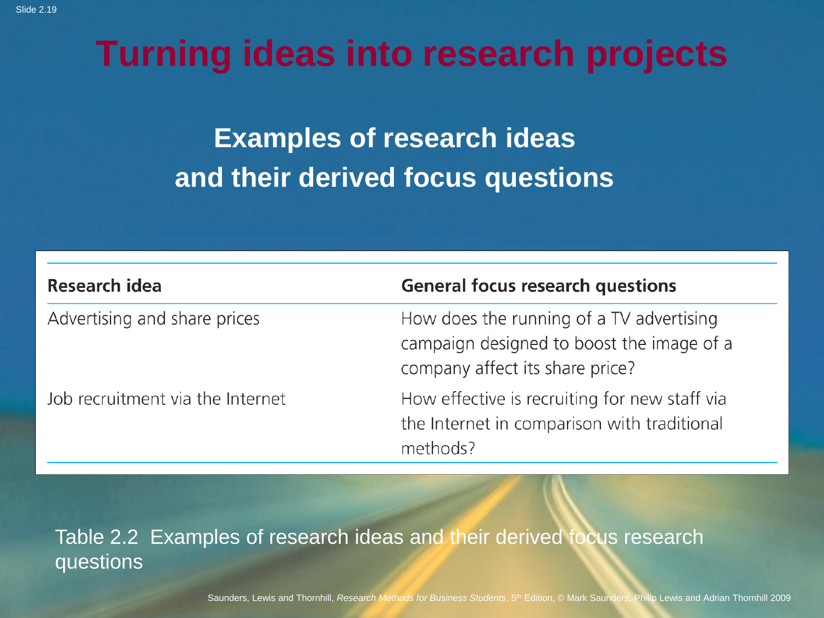#### **Turning ideas into research projects**

**Examples of research ideas and their derived focus questions**

| <b>Research idea</b>             | <b>General focus research questions</b>                                                                                  |
|----------------------------------|--------------------------------------------------------------------------------------------------------------------------|
| Advertising and share prices     | How does the running of a TV advertising<br>campaign designed to boost the image of a<br>company affect its share price? |
| Job recruitment via the Internet | How effective is recruiting for new staff via<br>the Internet in comparison with traditional<br>methods?                 |

Table 2.2 Examples of research ideas and their derived focus research questions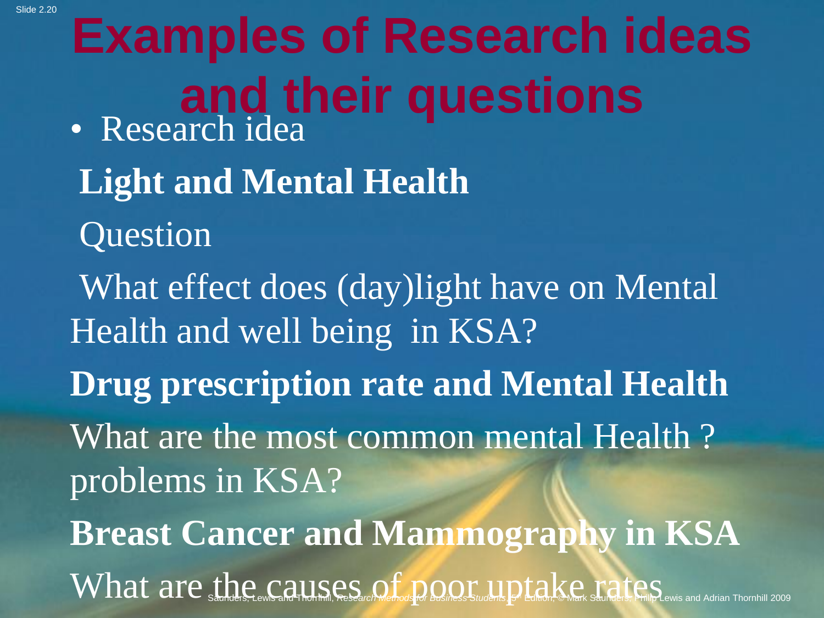What are sthe causes of the complete of the contract of the case of the case of the cause of the state of the cause and Adrian Thornhill 2009 **Examples of Research ideas and their questions** • Research idea **Light and Mental Health Question** What effect does (day)light have on Mental Health and well being in KSA? **Drug prescription rate and Mental Health** What are the most common mental Health ? problems in KSA? **Breast Cancer and Mammography in KSA**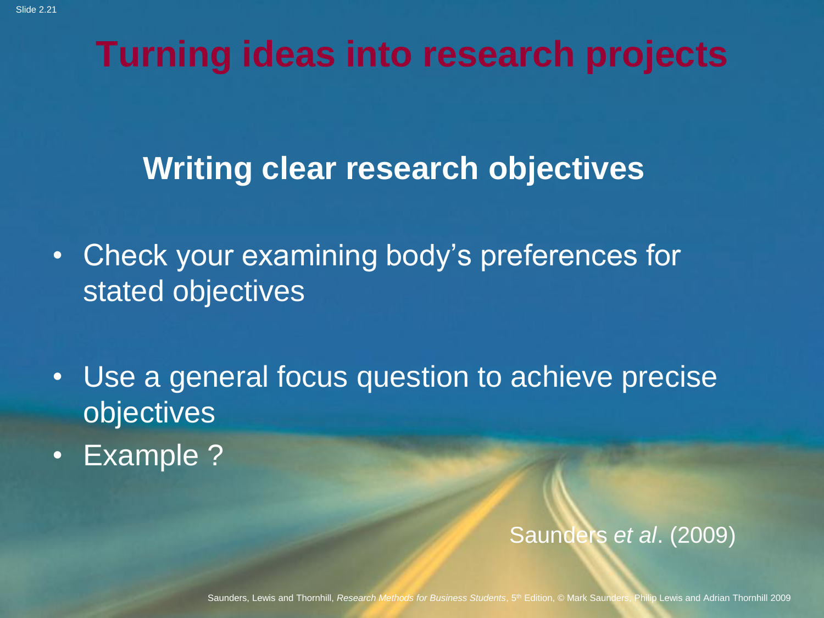#### **Turning ideas into research projects**

#### **Writing clear research objectives**

- Check your examining body's preferences for stated objectives
- Use a general focus question to achieve precise objectives
- Example ?

#### Saunders *et al*. (2009)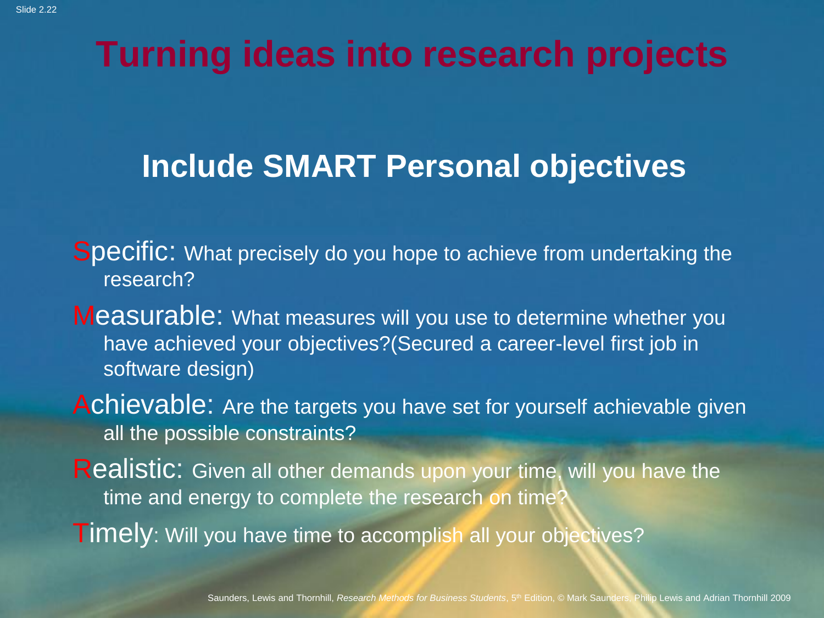#### **Turning ideas into research projects**

#### **Include SMART Personal objectives**

Specific: What precisely do you hope to achieve from undertaking the research?

Measurable: What measures will you use to determine whether you have achieved your objectives?(Secured a career-level first job in software design)

Achievable: Are the targets you have set for yourself achievable given all the possible constraints?

Realistic: Given all other demands upon your time, will you have the time and energy to complete the research on time

Timely: Will you have time to accomplish all your objectives?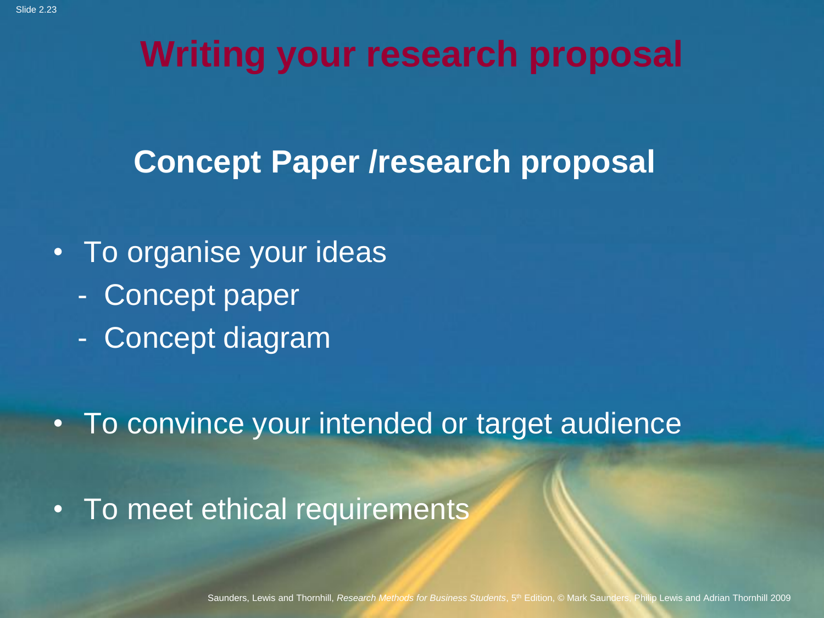#### **Writing your research proposal**

#### **Concept Paper /research proposal**

- To organise your ideas
	- Concept paper
	- Concept diagram

• To convince your intended or target audience

• To meet ethical requirements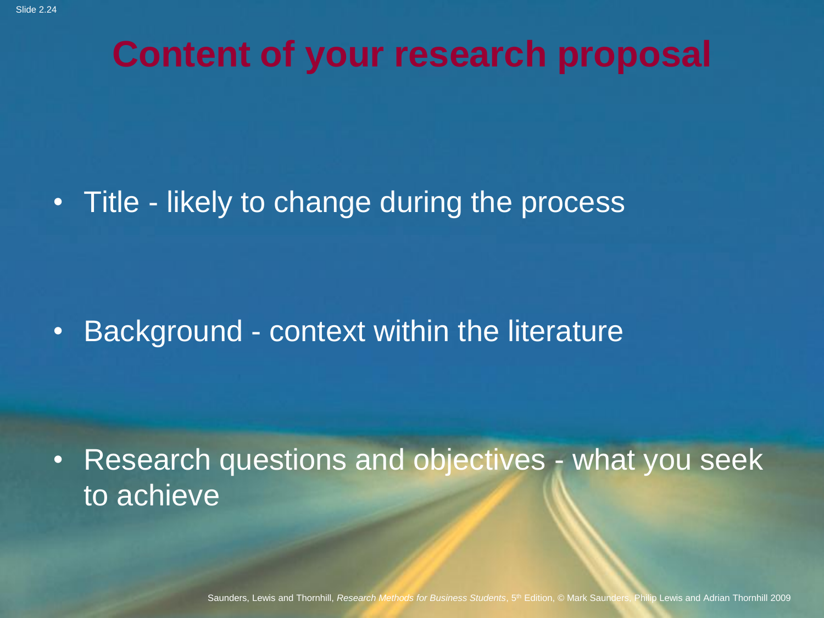#### **Content of your research proposal**

• Title - likely to change during the process

• Background - context within the literature

• Research questions and objectives - what you seek to achieve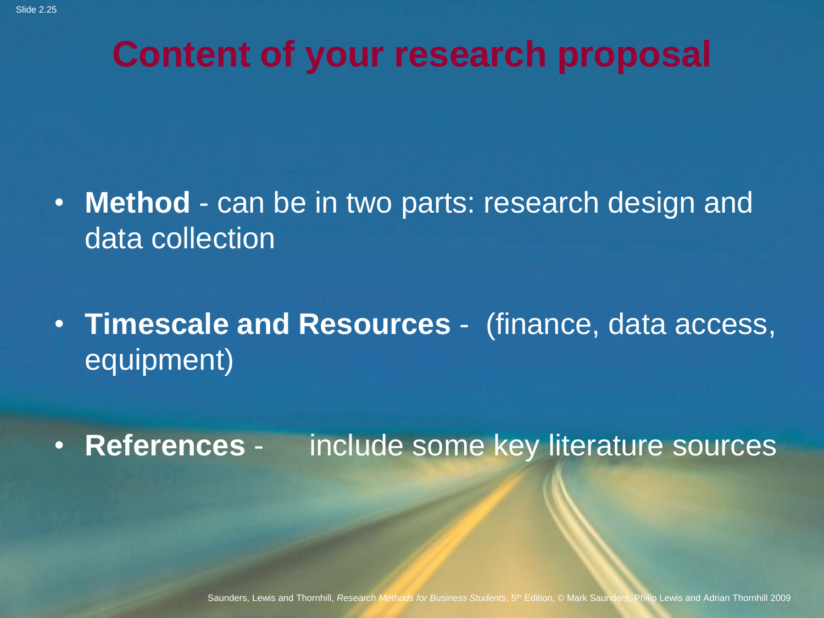#### **Content of your research proposal**

- **Method**  can be in two parts: research design and data collection
- **Timescale and Resources** (finance, data access, equipment)
- **References** include some key literature sources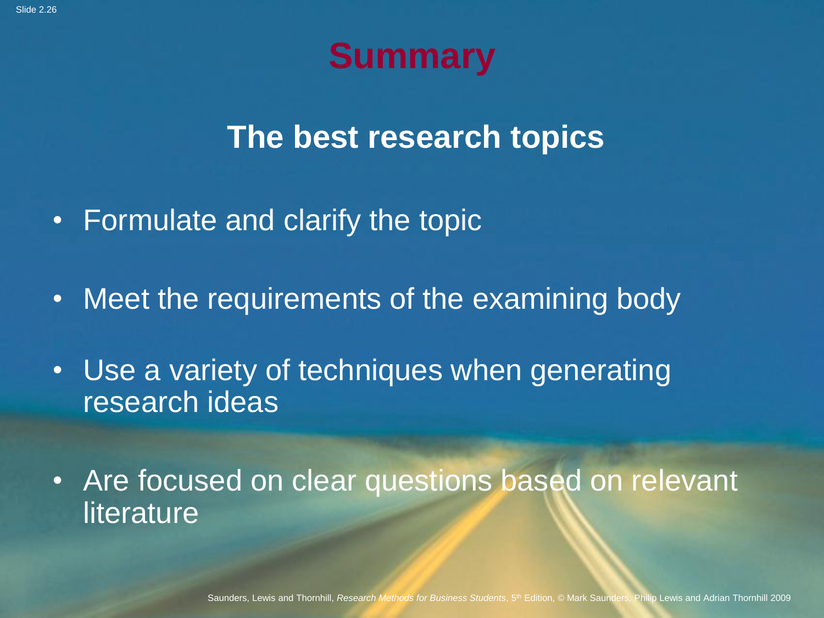### **Summary**

**The best research topics**

- Formulate and clarify the topic
- Meet the requirements of the examining body
- Use a variety of techniques when generating research ideas

• Are focused on clear questions based on relevant literature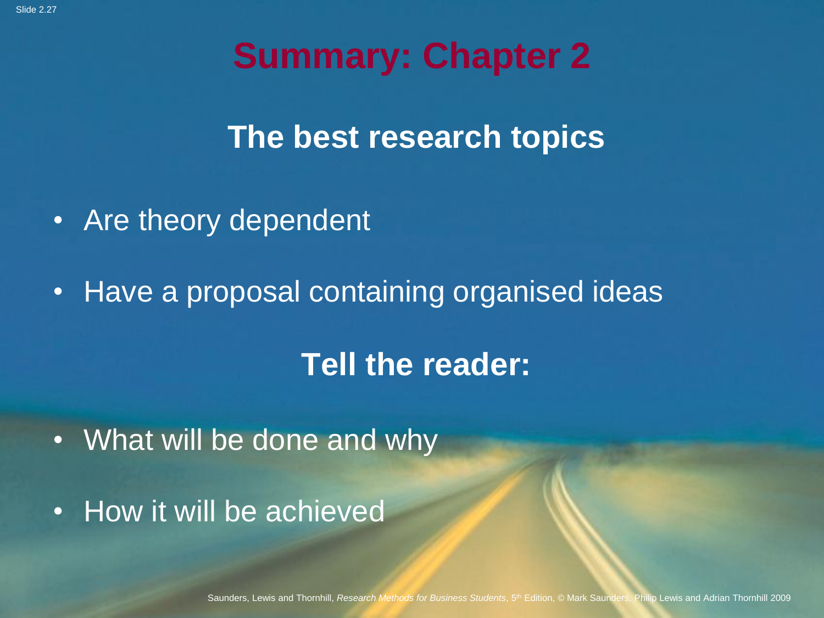#### **Summary: Chapter 2**

**The best research topics**

- Are theory dependent
- Have a proposal containing organised ideas

#### **Tell the reader:**

- What will be done and why
- How it will be achieved